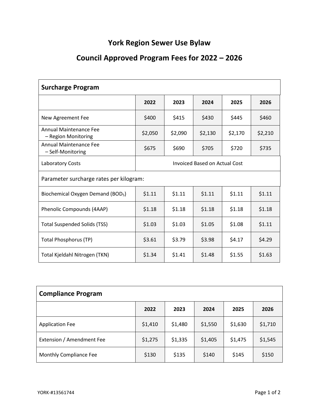## **York Region Sewer Use Bylaw**

## **Council Approved Program Fees for 2022 – 2026**

| <b>Surcharge Program</b>                           |                                      |         |         |         |         |  |
|----------------------------------------------------|--------------------------------------|---------|---------|---------|---------|--|
|                                                    | 2022                                 | 2023    | 2024    | 2025    | 2026    |  |
| New Agreement Fee                                  | \$400                                | \$415   | \$430   | \$445   | \$460   |  |
| Annual Maintenance Fee<br>- Region Monitoring      | \$2,050                              | \$2,090 | \$2,130 | \$2,170 | \$2,210 |  |
| <b>Annual Maintenance Fee</b><br>- Self-Monitoring | \$675                                | \$690   | \$705   | \$720   | \$735   |  |
| Laboratory Costs                                   | <b>Invoiced Based on Actual Cost</b> |         |         |         |         |  |
| Parameter surcharge rates per kilogram:            |                                      |         |         |         |         |  |
| Biochemical Oxygen Demand (BOD <sub>5</sub> )      | \$1.11                               | \$1.11  | \$1.11  | \$1.11  | \$1.11  |  |
| Phenolic Compounds (4AAP)                          | \$1.18                               | \$1.18  | \$1.18  | \$1.18  | \$1.18  |  |
| <b>Total Suspended Solids (TSS)</b>                | \$1.03                               | \$1.03  | \$1.05  | \$1.08  | \$1.11  |  |
| <b>Total Phosphorus (TP)</b>                       | \$3.61                               | \$3.79  | \$3.98  | \$4.17  | \$4.29  |  |
| Total Kjeldahl Nitrogen (TKN)                      | \$1.34                               | \$1.41  | \$1.48  | \$1.55  | \$1.63  |  |

| <b>Compliance Program</b> |         |         |         |         |         |
|---------------------------|---------|---------|---------|---------|---------|
|                           | 2022    | 2023    | 2024    | 2025    | 2026    |
| <b>Application Fee</b>    | \$1,410 | \$1,480 | \$1,550 | \$1,630 | \$1,710 |
| Extension / Amendment Fee | \$1,275 | \$1,335 | \$1,405 | \$1,475 | \$1,545 |
| Monthly Compliance Fee    | \$130   | \$135   | \$140   | \$145   | \$150   |